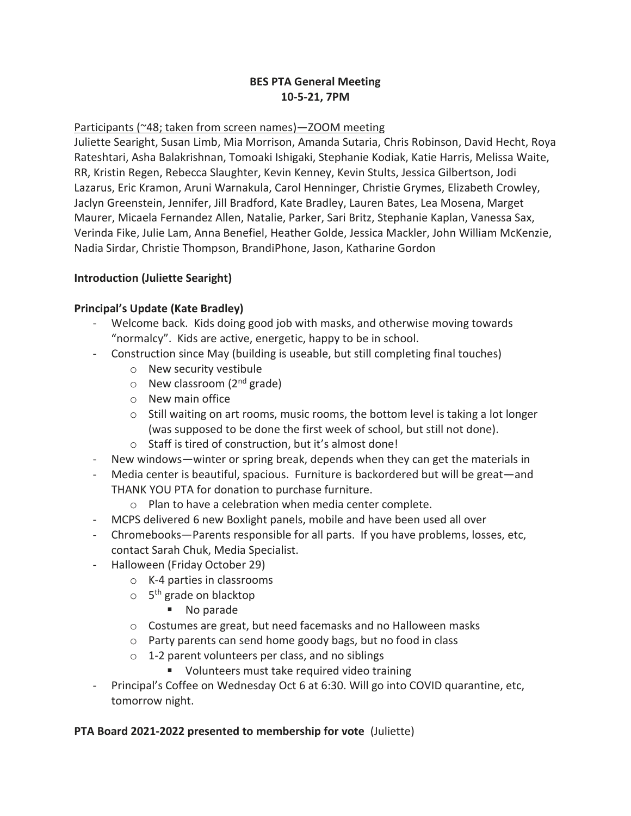# **BES PTA General Meeting 10-5-21, 7PM**

### Participants (~48; taken from screen names)—ZOOM meeting

Juliette Searight, Susan Limb, Mia Morrison, Amanda Sutaria, Chris Robinson, David Hecht, Roya Rateshtari, Asha Balakrishnan, Tomoaki Ishigaki, Stephanie Kodiak, Katie Harris, Melissa Waite, RR, Kristin Regen, Rebecca Slaughter, Kevin Kenney, Kevin Stults, Jessica Gilbertson, Jodi Lazarus, Eric Kramon, Aruni Warnakula, Carol Henninger, Christie Grymes, Elizabeth Crowley, Jaclyn Greenstein, Jennifer, Jill Bradford, Kate Bradley, Lauren Bates, Lea Mosena, Marget Maurer, Micaela Fernandez Allen, Natalie, Parker, Sari Britz, Stephanie Kaplan, Vanessa Sax, Verinda Fike, Julie Lam, Anna Benefiel, Heather Golde, Jessica Mackler, John William McKenzie, Nadia Sirdar, Christie Thompson, BrandiPhone, Jason, Katharine Gordon

### **Introduction (Juliette Searight)**

### **Principal's Update (Kate Bradley)**

- Welcome back. Kids doing good job with masks, and otherwise moving towards "normalcy". Kids are active, energetic, happy to be in school.
- Construction since May (building is useable, but still completing final touches)
	- o New security vestibule
	- $\circ$  New classroom (2<sup>nd</sup> grade)
	- o New main office
	- $\circ$  Still waiting on art rooms, music rooms, the bottom level is taking a lot longer (was supposed to be done the first week of school, but still not done).
	- o Staff is tired of construction, but it's almost done!
- New windows—winter or spring break, depends when they can get the materials in
- Media center is beautiful, spacious. Furniture is backordered but will be great—and THANK YOU PTA for donation to purchase furniture.
	- o Plan to have a celebration when media center complete.
- MCPS delivered 6 new Boxlight panels, mobile and have been used all over
- Chromebooks—Parents responsible for all parts. If you have problems, losses, etc, contact Sarah Chuk, Media Specialist.
- Halloween (Friday October 29)
	- o K-4 parties in classrooms
	- o 5<sup>th</sup> grade on blacktop
		- No parade
	- o Costumes are great, but need facemasks and no Halloween masks
	- o Party parents can send home goody bags, but no food in class
	- $\circ$  1-2 parent volunteers per class, and no siblings
		- Volunteers must take required video training
- Principal's Coffee on Wednesday Oct 6 at 6:30. Will go into COVID quarantine, etc, tomorrow night.

#### **PTA Board 2021-2022 presented to membership for vote** (Juliette)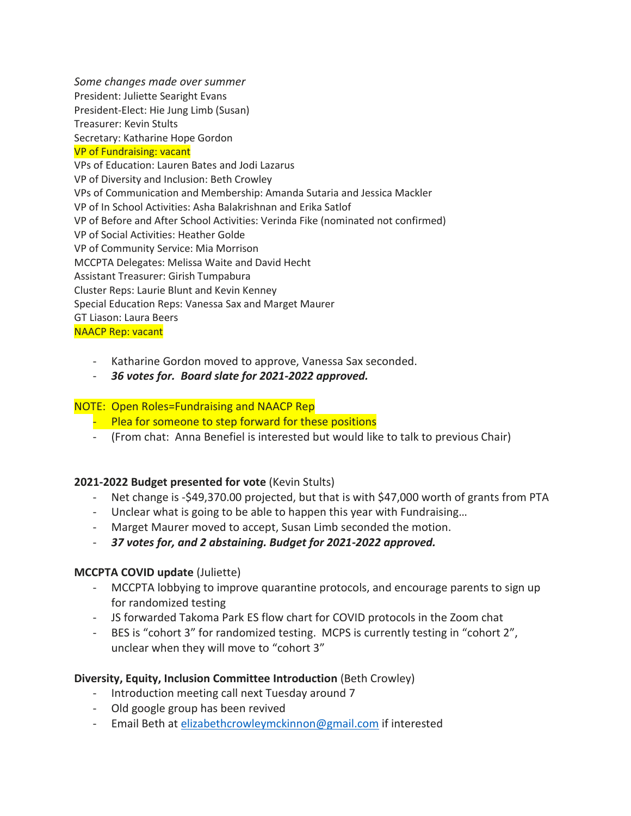*Some changes made over summer* President: Juliette Searight Evans President-Elect: Hie Jung Limb (Susan) Treasurer: Kevin Stults Secretary: Katharine Hope Gordon VP of Fundraising: vacant VPs of Education: Lauren Bates and Jodi Lazarus VP of Diversity and Inclusion: Beth Crowley VPs of Communication and Membership: Amanda Sutaria and Jessica Mackler VP of In School Activities: Asha Balakrishnan and Erika Satlof VP of Before and After School Activities: Verinda Fike (nominated not confirmed) VP of Social Activities: Heather Golde VP of Community Service: Mia Morrison MCCPTA Delegates: Melissa Waite and David Hecht Assistant Treasurer: Girish Tumpabura Cluster Reps: Laurie Blunt and Kevin Kenney Special Education Reps: Vanessa Sax and Marget Maurer GT Liason: Laura Beers NAACP Rep: vacant

- Katharine Gordon moved to approve, Vanessa Sax seconded.
- *36 votes for. Board slate for 2021-2022 approved.*

#### NOTE: Open Roles=Fundraising and NAACP Rep

- Plea for someone to step forward for these positions
- (From chat: Anna Benefiel is interested but would like to talk to previous Chair)

## **2021-2022 Budget presented for vote** (Kevin Stults)

- Net change is -\$49,370.00 projected, but that is with \$47,000 worth of grants from PTA
- Unclear what is going to be able to happen this year with Fundraising…
- Marget Maurer moved to accept, Susan Limb seconded the motion.
- *37 votes for, and 2 abstaining. Budget for 2021-2022 approved.*

#### **MCCPTA COVID update** (Juliette)

- MCCPTA lobbying to improve quarantine protocols, and encourage parents to sign up for randomized testing
- JS forwarded Takoma Park ES flow chart for COVID protocols in the Zoom chat
- BES is "cohort 3" for randomized testing. MCPS is currently testing in "cohort 2", unclear when they will move to "cohort 3"

#### **Diversity, Equity, Inclusion Committee Introduction** (Beth Crowley)

- Introduction meeting call next Tuesday around 7
- Old google group has been revived
- Email Beth at [elizabethcrowleymckinnon@gmail.com](mailto:elizabethcrowleymckinnon@gmail.com) if interested